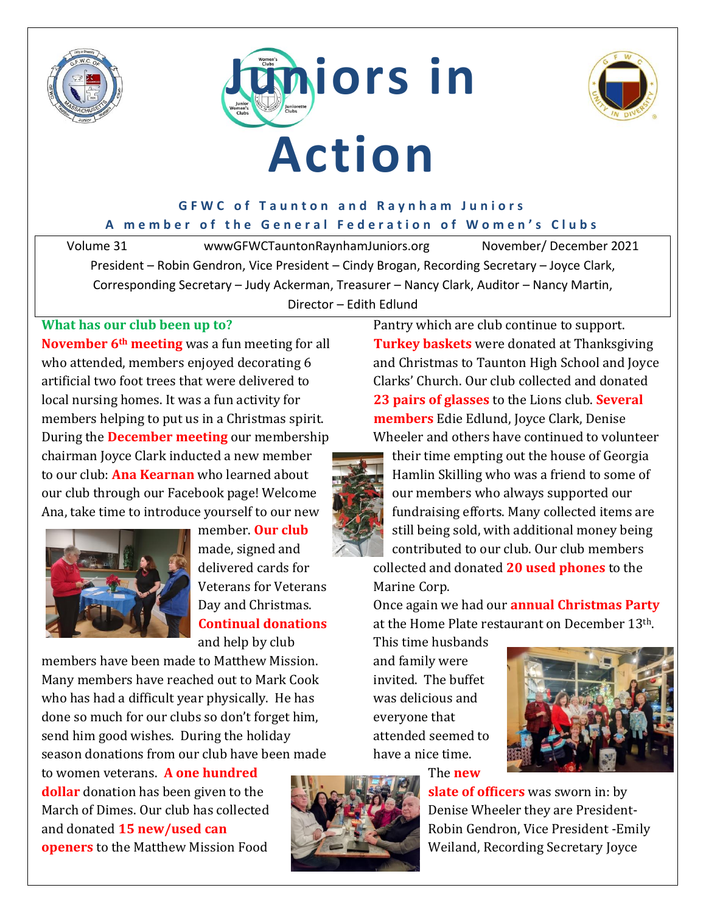





### **GFWC of Taunton and Raynham Juniors** A member of the General Federation of Women's Clubs

Volume 31 wwwGFWCTauntonRaynhamJuniors.org November/ December 2021 President – Robin Gendron, Vice President – Cindy Brogan, Recording Secretary – Joyce Clark, Corresponding Secretary – Judy Ackerman, Treasurer – Nancy Clark, Auditor – Nancy Martin, Director – Edith Edlund

### **What has our club been up to?**

**November 6th meeting** was a fun meeting for all who attended, members enjoyed decorating 6 artificial two foot trees that were delivered to local nursing homes. It was a fun activity for members helping to put us in a Christmas spirit. During the **December meeting** our membership chairman Joyce Clark inducted a new member to our club: **Ana Kearnan** who learned about our club through our Facebook page! Welcome Ana, take time to introduce yourself to our new



member. **Our club** made, signed and delivered cards for Veterans for Veterans Day and Christmas. **Continual donations** and help by club

members have been made to Matthew Mission. Many members have reached out to Mark Cook who has had a difficult year physically. He has done so much for our clubs so don't forget him, send him good wishes. During the holiday season donations from our club have been made

to women veterans. **A one hundred dollar** donation has been given to the March of Dimes. Our club has collected and donated **15 new/used can openers** to the Matthew Mission Food



Pantry which are club continue to support. **Turkey baskets** were donated at Thanksgiving and Christmas to Taunton High School and Joyce Clarks' Church. Our club collected and donated **23 pairs of glasses** to the Lions club. **Several members** Edie Edlund, Joyce Clark, Denise Wheeler and others have continued to volunteer

their time empting out the house of Georgia Hamlin Skilling who was a friend to some of our members who always supported our fundraising efforts. Many collected items are still being sold, with additional money being contributed to our club. Our club members

collected and donated **20 used phones** to the Marine Corp.

Once again we had our **annual Christmas Party** at the Home Plate restaurant on December 13th.

This time husbands and family were invited. The buffet was delicious and everyone that attended seemed to have a nice time.



The **new** 

**slate of officers** was sworn in: by Denise Wheeler they are President-Robin Gendron, Vice President -Emily Weiland, Recording Secretary Joyce

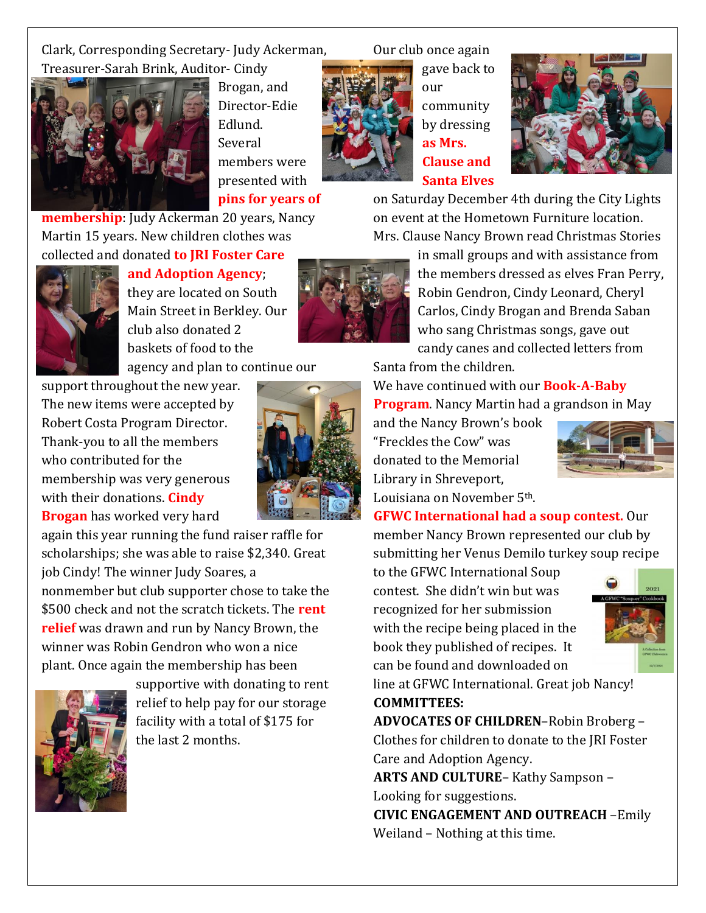Clark, Corresponding Secretary- Judy Ackerman, Treasurer-Sarah Brink, Auditor- Cindy



Brogan, and Director-Edie Edlund. Several members were presented with

**pins for years of** 

**membership**: Judy Ackerman 20 years, Nancy Martin 15 years. New children clothes was collected and donated **to JRI Foster Care** 



**and Adoption Agency**; they are located on South Main Street in Berkley. Our club also donated 2 baskets of food to the

agency and plan to continue our

support throughout the new year. The new items were accepted by Robert Costa Program Director. Thank-you to all the members who contributed for the membership was very generous with their donations. **Cindy Brogan** has worked very hard

again this year running the fund raiser raffle for scholarships; she was able to raise \$2,340. Great job Cindy! The winner Judy Soares, a nonmember but club supporter chose to take the \$500 check and not the scratch tickets. The **rent relief** was drawn and run by Nancy Brown, the winner was Robin Gendron who won a nice plant. Once again the membership has been



supportive with donating to rent relief to help pay for our storage facility with a total of \$175 for the last 2 months.

Our club once again



our community by dressing **as Mrs. Clause and Santa Elves**

gave back to



on Saturday December 4th during the City Lights on event at the Hometown Furniture location. Mrs. Clause Nancy Brown read Christmas Stories

in small groups and with assistance from the members dressed as elves Fran Perry, Robin Gendron, Cindy Leonard, Cheryl Carlos, Cindy Brogan and Brenda Saban who sang Christmas songs, gave out candy canes and collected letters from

Santa from the children.

We have continued with our **Book-A-Baby Program**. Nancy Martin had a grandson in May

and the Nancy Brown's book "Freckles the Cow" was donated to the Memorial Library in Shreveport, Louisiana on November 5th.



**GFWC International had a soup contest.** Our member Nancy Brown represented our club by submitting her Venus Demilo turkey soup recipe

to the GFWC International Soup contest. She didn't win but was recognized for her submission with the recipe being placed in the book they published of recipes. It can be found and downloaded on



line at GFWC International. Great job Nancy! **COMMITTEES:**

**ADVOCATES OF CHILDREN**–Robin Broberg – Clothes for children to donate to the JRI Foster Care and Adoption Agency.

**ARTS AND CULTURE**– Kathy Sampson – Looking for suggestions.

**CIVIC ENGAGEMENT AND OUTREACH** –Emily Weiland – Nothing at this time.

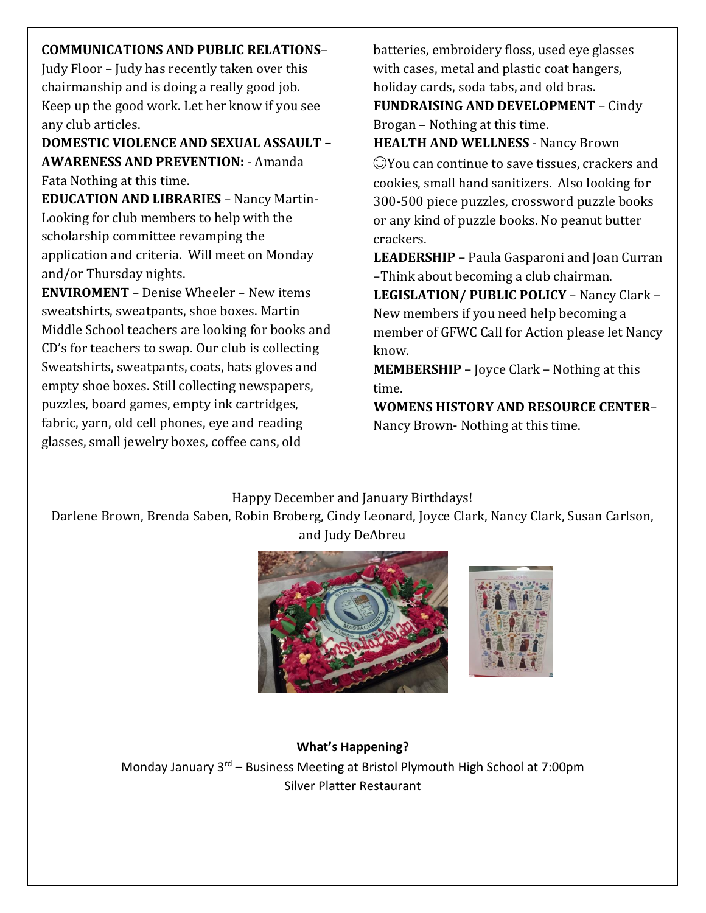# **COMMUNICATIONS AND PUBLIC RELATIONS**–

Judy Floor – Judy has recently taken over this chairmanship and is doing a really good job. Keep up the good work. Let her know if you see any club articles.

**DOMESTIC VIOLENCE AND SEXUAL ASSAULT – AWARENESS AND PREVENTION:** - Amanda Fata Nothing at this time.

**EDUCATION AND LIBRARIES** – Nancy Martin-Looking for club members to help with the scholarship committee revamping the application and criteria. Will meet on Monday and/or Thursday nights.

**ENVIROMENT** – Denise Wheeler – New items sweatshirts, sweatpants, shoe boxes. Martin Middle School teachers are looking for books and CD's for teachers to swap. Our club is collecting Sweatshirts, sweatpants, coats, hats gloves and empty shoe boxes. Still collecting newspapers, puzzles, board games, empty ink cartridges, fabric, yarn, old cell phones, eye and reading glasses, small jewelry boxes, coffee cans, old

batteries, embroidery floss, used eye glasses with cases, metal and plastic coat hangers, holiday cards, soda tabs, and old bras.

**FUNDRAISING AND DEVELOPMENT** – Cindy Brogan – Nothing at this time.

**HEALTH AND WELLNESS** - Nancy Brown You can continue to save tissues, crackers and cookies, small hand sanitizers. Also looking for 300-500 piece puzzles, crossword puzzle books or any kind of puzzle books. No peanut butter crackers.

**LEADERSHIP** – Paula Gasparoni and Joan Curran –Think about becoming a club chairman.

**LEGISLATION/ PUBLIC POLICY** – Nancy Clark – New members if you need help becoming a member of GFWC Call for Action please let Nancy know.

**MEMBERSHIP** – Joyce Clark – Nothing at this time.

**WOMENS HISTORY AND RESOURCE CENTER**– Nancy Brown- Nothing at this time.

# Happy December and January Birthdays!

Darlene Brown, Brenda Saben, Robin Broberg, Cindy Leonard, Joyce Clark, Nancy Clark, Susan Carlson, and Judy DeAbreu



# **What's Happening?**

Monday January 3<sup>rd</sup> – Business Meeting at Bristol Plymouth High School at 7:00pm Silver Platter Restaurant